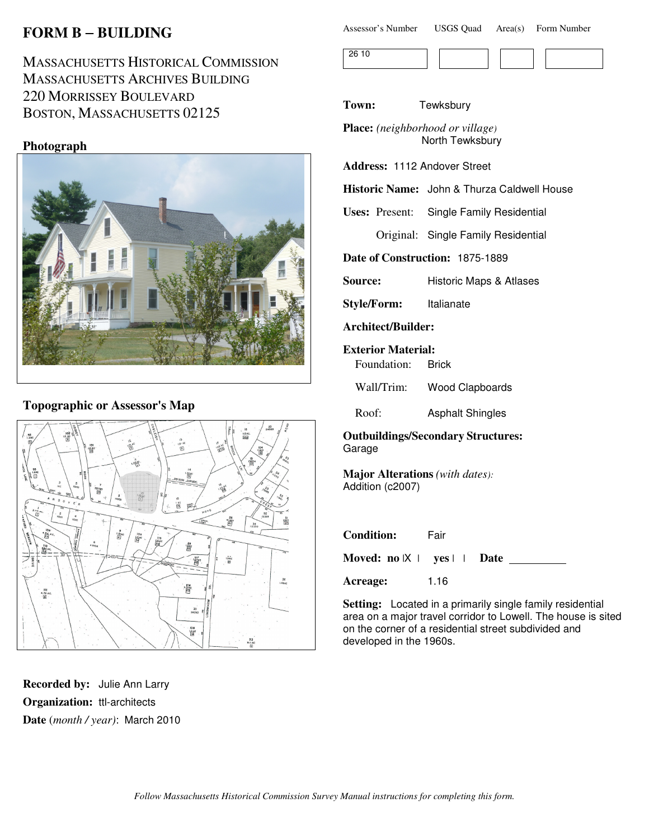# **FORM B** − **BUILDING**

MASSACHUSETTS HISTORICAL COMMISSION MASSACHUSETTS ARCHIVES BUILDING 220 MORRISSEY BOULEVARD BOSTON, MASSACHUSETTS 02125

# **Photograph**



# **Topographic or Assessor's Map**



**Recorded by:** Julie Ann Larry **Organization:** ttl-architects **Date** (*month / year)*: March 2010

| <b>USGS Quad</b><br>Assessor's Number | $Area(s)$ Form Number |
|---------------------------------------|-----------------------|
|---------------------------------------|-----------------------|

| . |  |  |  |
|---|--|--|--|
|   |  |  |  |

**Town:** Tewksbury

**Place:** *(neighborhood or village)* North Tewksbury

**Address:** 1112 Andover Street

**Historic Name:** John & Thurza Caldwell House

**Uses:** Present: Single Family Residential

Original: Single Family Residential

**Date of Construction:** 1875-1889

**Source:** Historic Maps & Atlases

**Style/Form:** Italianate

**Architect/Builder:**

**Exterior Material:**

Foundation: Brick

Wall/Trim: Wood Clapboards

Roof: Asphalt Shingles

**Outbuildings/Secondary Structures:** Garage

**Major Alterations** *(with dates):* Addition (c2007)

| <b>Condition:</b>                          | Fair |  |
|--------------------------------------------|------|--|
| Moved: $no \vert X \vert$ yes $\vert$ Date |      |  |
| Acreage:                                   | 1.16 |  |

**Setting:** Located in a primarily single family residential area on a major travel corridor to Lowell. The house is sited on the corner of a residential street subdivided and developed in the 1960s.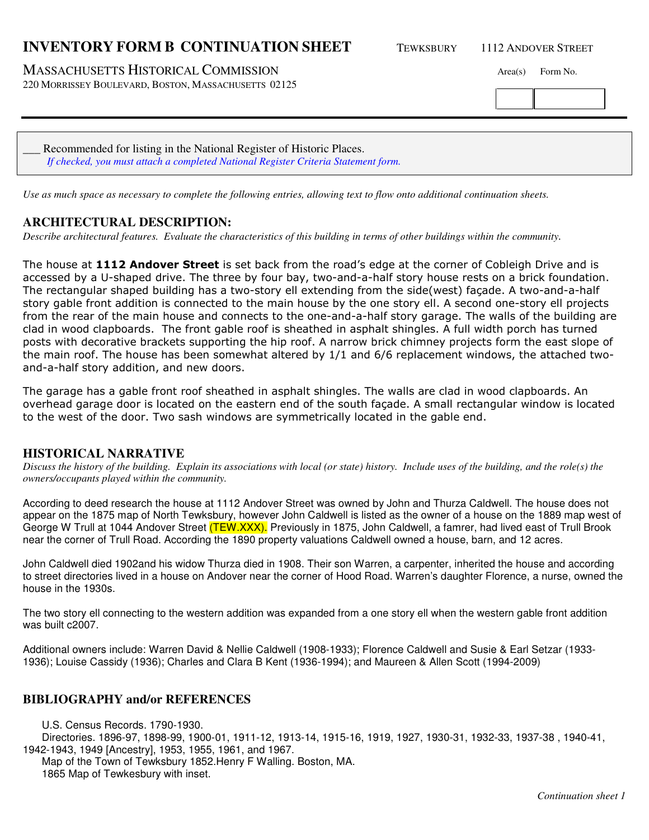# **INVENTORY FORM B CONTINUATION SHEET** TEWKSBURY 1112 ANDOVER STREET

MASSACHUSETTS HISTORICAL COMMISSION Area(s) Form No.

220 MORRISSEY BOULEVARD, BOSTON, MASSACHUSETTS 02125

Recommended for listing in the National Register of Historic Places. *If checked, you must attach a completed National Register Criteria Statement form.*

*Use as much space as necessary to complete the following entries, allowing text to flow onto additional continuation sheets.* 

### **ARCHITECTURAL DESCRIPTION:**

*Describe architectural features. Evaluate the characteristics of this building in terms of other buildings within the community.*

The house at 1112 Andover Street is set back from the road's edge at the corner of Cobleigh Drive and is accessed by a U-shaped drive. The three by four bay, two-and-a-half story house rests on a brick foundation. The rectangular shaped building has a two-story ell extending from the side(west) façade. A two-and-a-half story gable front addition is connected to the main house by the one story ell. A second one-story ell projects from the rear of the main house and connects to the one-and-a-half story garage. The walls of the building are clad in wood clapboards. The front gable roof is sheathed in asphalt shingles. A full width porch has turned posts with decorative brackets supporting the hip roof. A narrow brick chimney projects form the east slope of the main roof. The house has been somewhat altered by 1/1 and 6/6 replacement windows, the attached twoand-a-half story addition, and new doors.

The garage has a gable front roof sheathed in asphalt shingles. The walls are clad in wood clapboards. An overhead garage door is located on the eastern end of the south façade. A small rectangular window is located to the west of the door. Two sash windows are symmetrically located in the gable end.

#### **HISTORICAL NARRATIVE**

*Discuss the history of the building. Explain its associations with local (or state) history. Include uses of the building, and the role(s) the owners/occupants played within the community.*

According to deed research the house at 1112 Andover Street was owned by John and Thurza Caldwell. The house does not appear on the 1875 map of North Tewksbury, however John Caldwell is listed as the owner of a house on the 1889 map west of George W Trull at 1044 Andover Street (TEW.XXX). Previously in 1875, John Caldwell, a famrer, had lived east of Trull Brook near the corner of Trull Road. According the 1890 property valuations Caldwell owned a house, barn, and 12 acres.

John Caldwell died 1902and his widow Thurza died in 1908. Their son Warren, a carpenter, inherited the house and according to street directories lived in a house on Andover near the corner of Hood Road. Warren's daughter Florence, a nurse, owned the house in the 1930s.

The two story ell connecting to the western addition was expanded from a one story ell when the western gable front addition was built c2007.

Additional owners include: Warren David & Nellie Caldwell (1908-1933); Florence Caldwell and Susie & Earl Setzar (1933- 1936); Louise Cassidy (1936); Charles and Clara B Kent (1936-1994); and Maureen & Allen Scott (1994-2009)

#### **BIBLIOGRAPHY and/or REFERENCES**

U.S. Census Records. 1790-1930. Directories. 1896-97, 1898-99, 1900-01, 1911-12, 1913-14, 1915-16, 1919, 1927, 1930-31, 1932-33, 1937-38 , 1940-41, 1942-1943, 1949 [Ancestry], 1953, 1955, 1961, and 1967. Map of the Town of Tewksbury 1852.Henry F Walling. Boston, MA. 1865 Map of Tewkesbury with inset.